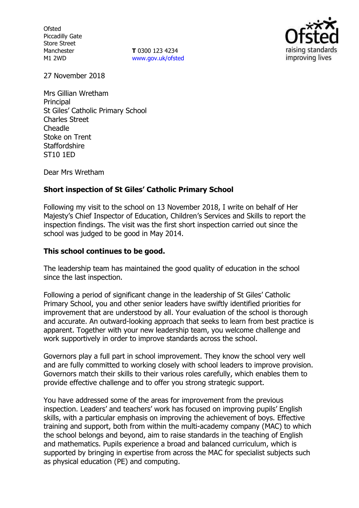**Ofsted** Piccadilly Gate Store Street Manchester M1 2WD

**T** 0300 123 4234 www.gov.uk/ofsted



27 November 2018

Mrs Gillian Wretham **Principal** St Giles' Catholic Primary School Charles Street Cheadle Stoke on Trent **Staffordshire** ST10 1ED

Dear Mrs Wretham

### **Short inspection of St Giles' Catholic Primary School**

Following my visit to the school on 13 November 2018, I write on behalf of Her Majesty's Chief Inspector of Education, Children's Services and Skills to report the inspection findings. The visit was the first short inspection carried out since the school was judged to be good in May 2014.

#### **This school continues to be good.**

The leadership team has maintained the good quality of education in the school since the last inspection.

Following a period of significant change in the leadership of St Giles' Catholic Primary School, you and other senior leaders have swiftly identified priorities for improvement that are understood by all. Your evaluation of the school is thorough and accurate. An outward-looking approach that seeks to learn from best practice is apparent. Together with your new leadership team, you welcome challenge and work supportively in order to improve standards across the school.

Governors play a full part in school improvement. They know the school very well and are fully committed to working closely with school leaders to improve provision. Governors match their skills to their various roles carefully, which enables them to provide effective challenge and to offer you strong strategic support.

You have addressed some of the areas for improvement from the previous inspection. Leaders' and teachers' work has focused on improving pupils' English skills, with a particular emphasis on improving the achievement of boys. Effective training and support, both from within the multi-academy company (MAC) to which the school belongs and beyond, aim to raise standards in the teaching of English and mathematics. Pupils experience a broad and balanced curriculum, which is supported by bringing in expertise from across the MAC for specialist subjects such as physical education (PE) and computing.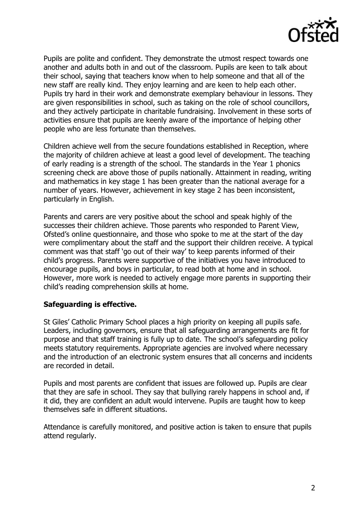

Pupils are polite and confident. They demonstrate the utmost respect towards one another and adults both in and out of the classroom. Pupils are keen to talk about their school, saying that teachers know when to help someone and that all of the new staff are really kind. They enjoy learning and are keen to help each other. Pupils try hard in their work and demonstrate exemplary behaviour in lessons. They are given responsibilities in school, such as taking on the role of school councillors, and they actively participate in charitable fundraising. Involvement in these sorts of activities ensure that pupils are keenly aware of the importance of helping other people who are less fortunate than themselves.

Children achieve well from the secure foundations established in Reception, where the majority of children achieve at least a good level of development. The teaching of early reading is a strength of the school. The standards in the Year 1 phonics screening check are above those of pupils nationally. Attainment in reading, writing and mathematics in key stage 1 has been greater than the national average for a number of years. However, achievement in key stage 2 has been inconsistent, particularly in English.

Parents and carers are very positive about the school and speak highly of the successes their children achieve. Those parents who responded to Parent View, Ofsted's online questionnaire, and those who spoke to me at the start of the day were complimentary about the staff and the support their children receive. A typical comment was that staff 'go out of their way' to keep parents informed of their child's progress. Parents were supportive of the initiatives you have introduced to encourage pupils, and boys in particular, to read both at home and in school. However, more work is needed to actively engage more parents in supporting their child's reading comprehension skills at home.

### **Safeguarding is effective.**

St Giles' Catholic Primary School places a high priority on keeping all pupils safe. Leaders, including governors, ensure that all safeguarding arrangements are fit for purpose and that staff training is fully up to date. The school's safeguarding policy meets statutory requirements. Appropriate agencies are involved where necessary and the introduction of an electronic system ensures that all concerns and incidents are recorded in detail.

Pupils and most parents are confident that issues are followed up. Pupils are clear that they are safe in school. They say that bullying rarely happens in school and, if it did, they are confident an adult would intervene. Pupils are taught how to keep themselves safe in different situations.

Attendance is carefully monitored, and positive action is taken to ensure that pupils attend regularly.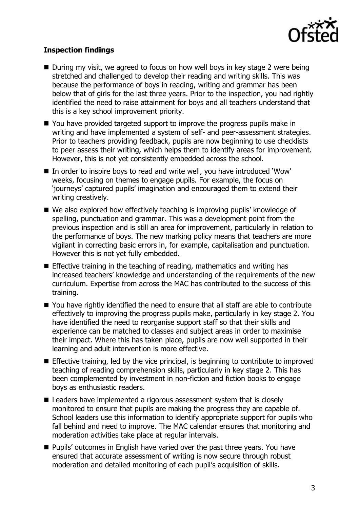

# **Inspection findings**

- During my visit, we agreed to focus on how well boys in key stage 2 were being stretched and challenged to develop their reading and writing skills. This was because the performance of boys in reading, writing and grammar has been below that of girls for the last three years. Prior to the inspection, you had rightly identified the need to raise attainment for boys and all teachers understand that this is a key school improvement priority.
- You have provided targeted support to improve the progress pupils make in writing and have implemented a system of self- and peer-assessment strategies. Prior to teachers providing feedback, pupils are now beginning to use checklists to peer assess their writing, which helps them to identify areas for improvement. However, this is not yet consistently embedded across the school.
- In order to inspire boys to read and write well, you have introduced 'Wow' weeks, focusing on themes to engage pupils. For example, the focus on 'journeys' captured pupils' imagination and encouraged them to extend their writing creatively.
- We also explored how effectively teaching is improving pupils' knowledge of spelling, punctuation and grammar. This was a development point from the previous inspection and is still an area for improvement, particularly in relation to the performance of boys. The new marking policy means that teachers are more vigilant in correcting basic errors in, for example, capitalisation and punctuation. However this is not yet fully embedded.
- **Effective training in the teaching of reading, mathematics and writing has** increased teachers' knowledge and understanding of the requirements of the new curriculum. Expertise from across the MAC has contributed to the success of this training.
- You have rightly identified the need to ensure that all staff are able to contribute effectively to improving the progress pupils make, particularly in key stage 2. You have identified the need to reorganise support staff so that their skills and experience can be matched to classes and subject areas in order to maximise their impact. Where this has taken place, pupils are now well supported in their learning and adult intervention is more effective.
- $\blacksquare$  Effective training, led by the vice principal, is beginning to contribute to improved teaching of reading comprehension skills, particularly in key stage 2. This has been complemented by investment in non-fiction and fiction books to engage boys as enthusiastic readers.
- Leaders have implemented a rigorous assessment system that is closely monitored to ensure that pupils are making the progress they are capable of. School leaders use this information to identify appropriate support for pupils who fall behind and need to improve. The MAC calendar ensures that monitoring and moderation activities take place at regular intervals.
- **Pupils'** outcomes in English have varied over the past three years. You have ensured that accurate assessment of writing is now secure through robust moderation and detailed monitoring of each pupil's acquisition of skills.